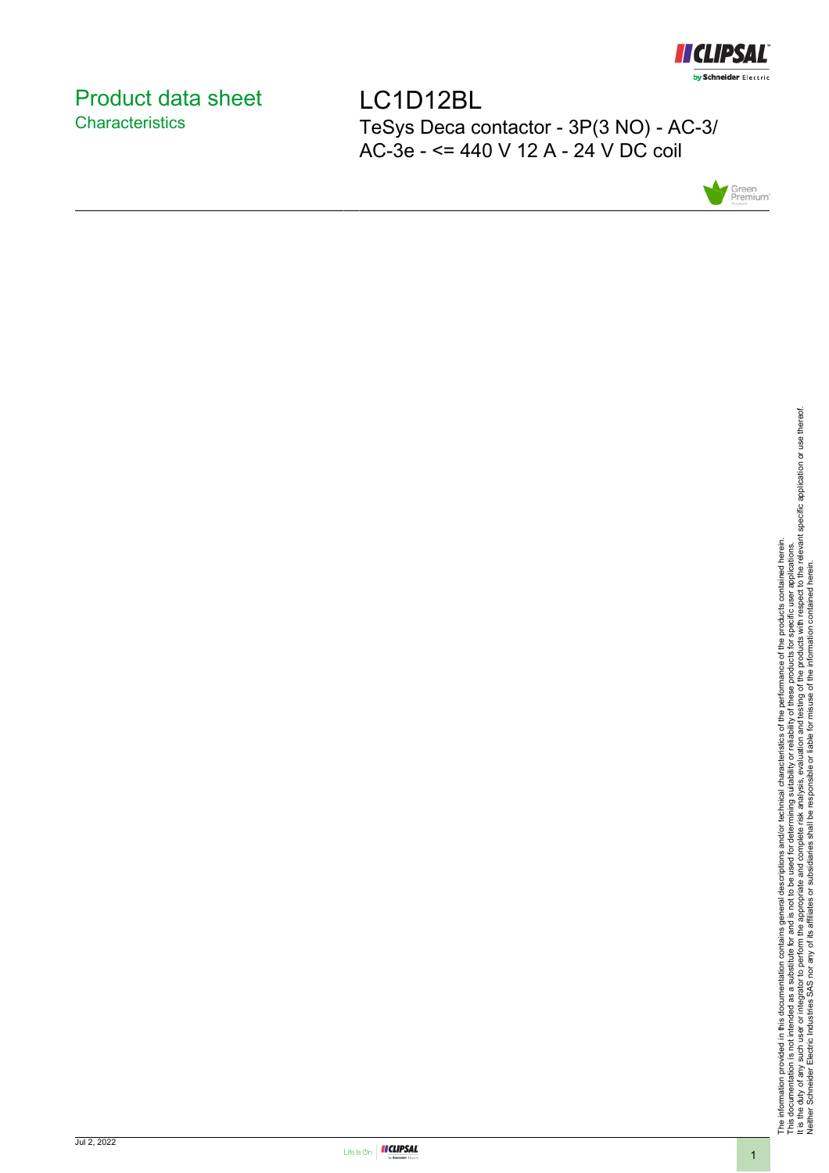

## <span id="page-0-0"></span>Product data sheet **Characteristics**

LC1D12BL TeSys Deca contactor - 3P(3 NO) - AC-3/ AC-3e - <= 440 V 12 A - 24 V DC coil



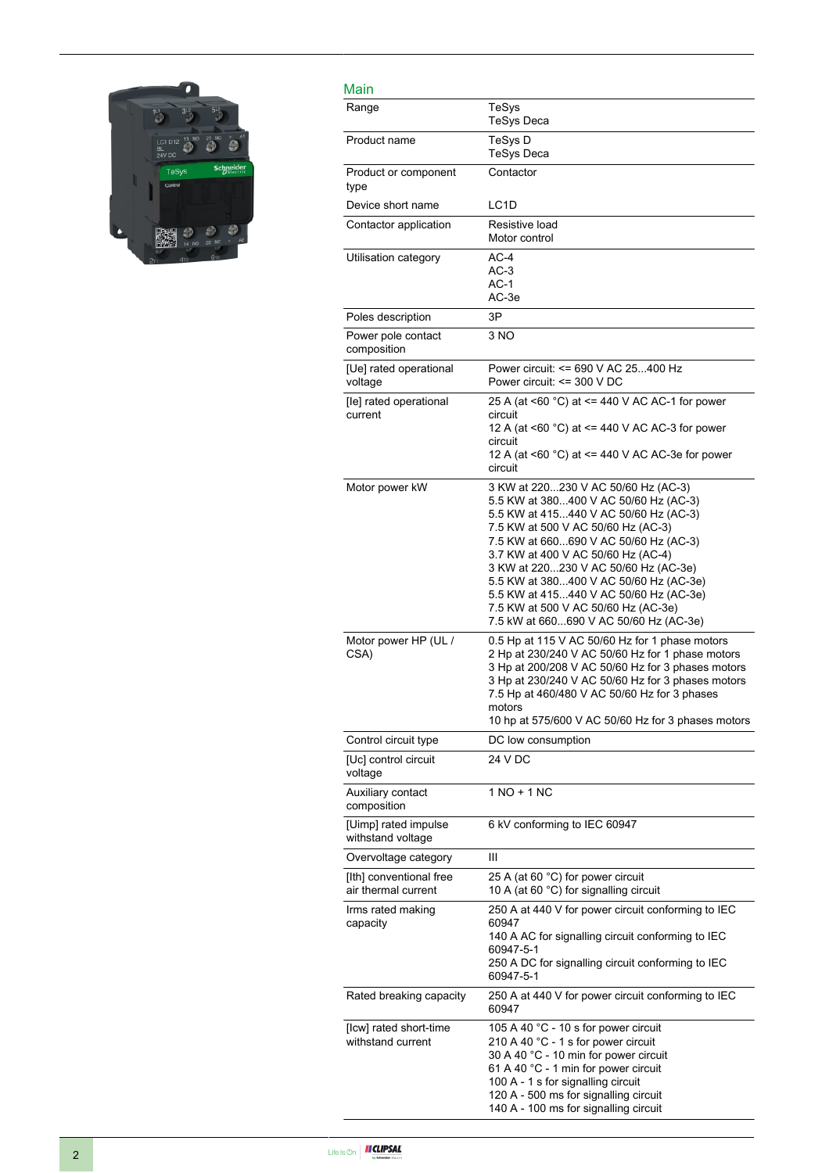

| Main                                           |                                                                                                                                                                                                                                                                                                                                                                                                                                                         |
|------------------------------------------------|---------------------------------------------------------------------------------------------------------------------------------------------------------------------------------------------------------------------------------------------------------------------------------------------------------------------------------------------------------------------------------------------------------------------------------------------------------|
| Range                                          | TeSys<br><b>TeSys Deca</b>                                                                                                                                                                                                                                                                                                                                                                                                                              |
| Product name                                   | TeSys D<br>TeSys Deca                                                                                                                                                                                                                                                                                                                                                                                                                                   |
| Product or component<br>type                   | Contactor                                                                                                                                                                                                                                                                                                                                                                                                                                               |
| Device short name                              | LC <sub>1</sub> D                                                                                                                                                                                                                                                                                                                                                                                                                                       |
| Contactor application                          | Resistive load<br>Motor control                                                                                                                                                                                                                                                                                                                                                                                                                         |
| Utilisation category                           | $AC-4$<br>$AC-3$<br>$AC-1$<br>AC-3e                                                                                                                                                                                                                                                                                                                                                                                                                     |
| Poles description                              | 3P                                                                                                                                                                                                                                                                                                                                                                                                                                                      |
| Power pole contact<br>composition              | 3 NO                                                                                                                                                                                                                                                                                                                                                                                                                                                    |
| [Ue] rated operational<br>voltage              | Power circuit: <= 690 V AC 25400 Hz<br>Power circuit: $\leq$ 300 V DC                                                                                                                                                                                                                                                                                                                                                                                   |
| [le] rated operational<br>current              | 25 A (at <60 °C) at <= 440 V AC AC-1 for power<br>circuit<br>12 A (at <60 $^{\circ}$ C) at <= 440 V AC AC-3 for power<br>circuit<br>12 A (at <60 °C) at <= 440 V AC AC-3e for power<br>circuit                                                                                                                                                                                                                                                          |
| Motor power kW                                 | 3 KW at 220230 V AC 50/60 Hz (AC-3)<br>5.5 KW at 380400 V AC 50/60 Hz (AC-3)<br>5.5 KW at 415440 V AC 50/60 Hz (AC-3)<br>7.5 KW at 500 V AC 50/60 Hz (AC-3)<br>7.5 KW at 660690 V AC 50/60 Hz (AC-3)<br>3.7 KW at 400 V AC 50/60 Hz (AC-4)<br>3 KW at 220230 V AC 50/60 Hz (AC-3e)<br>5.5 KW at 380400 V AC 50/60 Hz (AC-3e)<br>5.5 KW at 415440 V AC 50/60 Hz (AC-3e)<br>7.5 KW at 500 V AC 50/60 Hz (AC-3e)<br>7.5 kW at 660690 V AC 50/60 Hz (AC-3e) |
| Motor power HP (UL /<br>CSA)                   | 0.5 Hp at 115 V AC 50/60 Hz for 1 phase motors<br>2 Hp at 230/240 V AC 50/60 Hz for 1 phase motors<br>3 Hp at 200/208 V AC 50/60 Hz for 3 phases motors<br>3 Hp at 230/240 V AC 50/60 Hz for 3 phases motors<br>7.5 Hp at 460/480 V AC 50/60 Hz for 3 phases<br>motors<br>10 hp at 575/600 V AC 50/60 Hz for 3 phases motors                                                                                                                            |
| Control circuit type                           | DC low consumption                                                                                                                                                                                                                                                                                                                                                                                                                                      |
| [Uc] control circuit<br>voltage                | 24 V DC                                                                                                                                                                                                                                                                                                                                                                                                                                                 |
| Auxiliary contact<br>composition               | 1 NO + 1 NC                                                                                                                                                                                                                                                                                                                                                                                                                                             |
| [Uimp] rated impulse<br>withstand voltage      | 6 kV conforming to IEC 60947                                                                                                                                                                                                                                                                                                                                                                                                                            |
| Overvoltage category                           | Ш                                                                                                                                                                                                                                                                                                                                                                                                                                                       |
| [Ith] conventional free<br>air thermal current | 25 A (at 60 °C) for power circuit<br>10 A (at 60 °C) for signalling circuit                                                                                                                                                                                                                                                                                                                                                                             |
| Irms rated making<br>capacity                  | 250 A at 440 V for power circuit conforming to IEC<br>60947<br>140 A AC for signalling circuit conforming to IEC<br>60947-5-1<br>250 A DC for signalling circuit conforming to IEC<br>60947-5-1                                                                                                                                                                                                                                                         |
| Rated breaking capacity                        | 250 A at 440 V for power circuit conforming to IEC<br>60947                                                                                                                                                                                                                                                                                                                                                                                             |
| [Icw] rated short-time<br>withstand current    | 105 A 40 °C - 10 s for power circuit<br>210 A 40 °C - 1 s for power circuit<br>30 A 40 °C - 10 min for power circuit<br>61 A 40 °C - 1 min for power circuit<br>100 A - 1 s for signalling circuit<br>120 A - 500 ms for signalling circuit<br>140 A - 100 ms for signalling circuit                                                                                                                                                                    |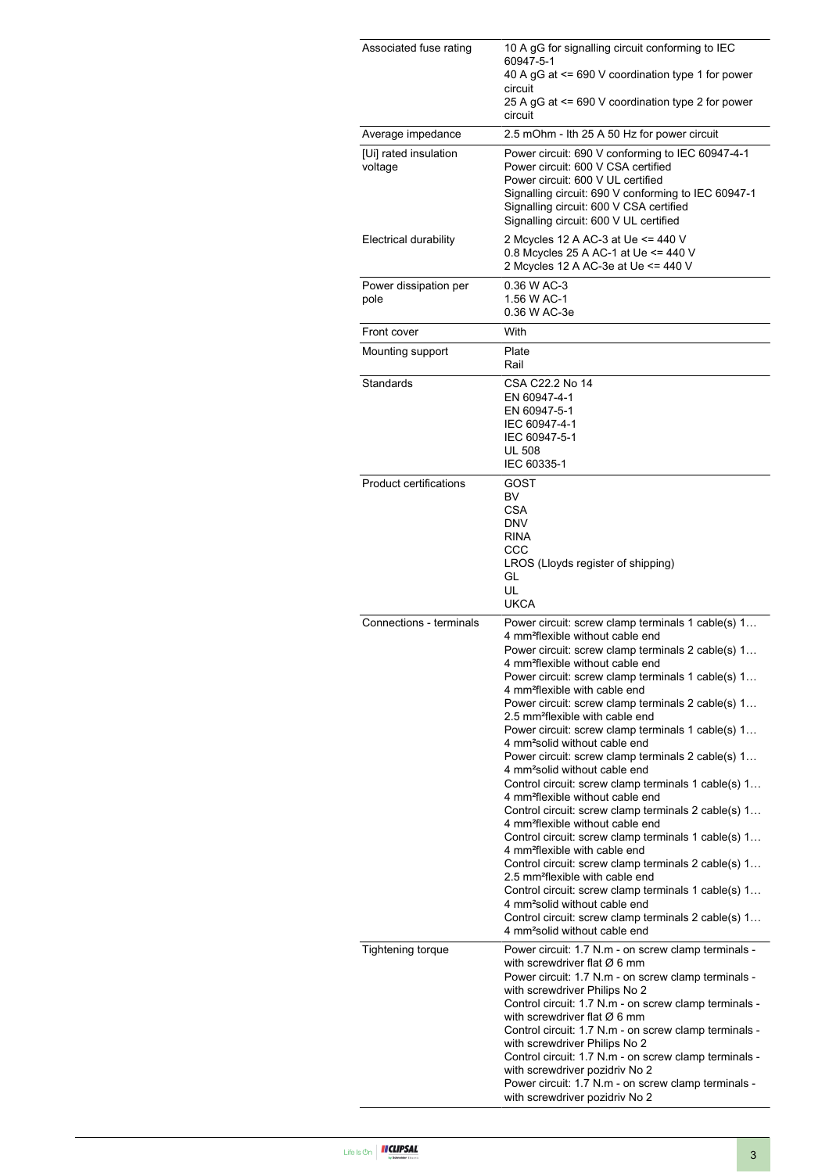| Associated fuse rating           | 10 A gG for signalling circuit conforming to IEC<br>60947-5-1<br>40 A gG at <= 690 V coordination type 1 for power<br>circuit<br>25 A gG at <= 690 V coordination type 2 for power<br>circuit                                                                                                                                                                                                                                                                                                                                                                                                                                                                                                                                                                                                                                                                                                                                                                                                                                                                                                                                                                                                                                                    |  |  |
|----------------------------------|--------------------------------------------------------------------------------------------------------------------------------------------------------------------------------------------------------------------------------------------------------------------------------------------------------------------------------------------------------------------------------------------------------------------------------------------------------------------------------------------------------------------------------------------------------------------------------------------------------------------------------------------------------------------------------------------------------------------------------------------------------------------------------------------------------------------------------------------------------------------------------------------------------------------------------------------------------------------------------------------------------------------------------------------------------------------------------------------------------------------------------------------------------------------------------------------------------------------------------------------------|--|--|
| Average impedance                | 2.5 mOhm - Ith 25 A 50 Hz for power circuit                                                                                                                                                                                                                                                                                                                                                                                                                                                                                                                                                                                                                                                                                                                                                                                                                                                                                                                                                                                                                                                                                                                                                                                                      |  |  |
| [Ui] rated insulation<br>voltage | Power circuit: 690 V conforming to IEC 60947-4-1<br>Power circuit: 600 V CSA certified<br>Power circuit: 600 V UL certified<br>Signalling circuit: 690 V conforming to IEC 60947-1<br>Signalling circuit: 600 V CSA certified<br>Signalling circuit: 600 V UL certified                                                                                                                                                                                                                                                                                                                                                                                                                                                                                                                                                                                                                                                                                                                                                                                                                                                                                                                                                                          |  |  |
| Electrical durability            | 2 Mcycles 12 A AC-3 at Ue <= 440 V<br>0.8 Mcycles 25 A AC-1 at Ue <= 440 V<br>2 Mcycles 12 A AC-3e at Ue <= 440 V                                                                                                                                                                                                                                                                                                                                                                                                                                                                                                                                                                                                                                                                                                                                                                                                                                                                                                                                                                                                                                                                                                                                |  |  |
| Power dissipation per<br>pole    | 0.36 W AC-3<br>1.56 W AC-1<br>0.36 W AC-3e                                                                                                                                                                                                                                                                                                                                                                                                                                                                                                                                                                                                                                                                                                                                                                                                                                                                                                                                                                                                                                                                                                                                                                                                       |  |  |
| Front cover                      | With                                                                                                                                                                                                                                                                                                                                                                                                                                                                                                                                                                                                                                                                                                                                                                                                                                                                                                                                                                                                                                                                                                                                                                                                                                             |  |  |
| Mounting support                 | Plate<br>Rail                                                                                                                                                                                                                                                                                                                                                                                                                                                                                                                                                                                                                                                                                                                                                                                                                                                                                                                                                                                                                                                                                                                                                                                                                                    |  |  |
| Standards                        | CSA C22.2 No 14<br>EN 60947-4-1<br>EN 60947-5-1<br>IEC 60947-4-1<br>IEC 60947-5-1<br><b>UL 508</b><br>IEC 60335-1                                                                                                                                                                                                                                                                                                                                                                                                                                                                                                                                                                                                                                                                                                                                                                                                                                                                                                                                                                                                                                                                                                                                |  |  |
| <b>Product certifications</b>    | GOST<br>BV<br><b>CSA</b><br><b>DNV</b><br><b>RINA</b><br>$_{\rm ccc}$<br>LROS (Lloyds register of shipping)<br>GL<br>UL<br><b>UKCA</b>                                                                                                                                                                                                                                                                                                                                                                                                                                                                                                                                                                                                                                                                                                                                                                                                                                                                                                                                                                                                                                                                                                           |  |  |
| Connections - terminals          | Power circuit: screw clamp terminals 1 cable(s) 1<br>4 mm <sup>2</sup> flexible without cable end<br>Power circuit: screw clamp terminals 2 cable(s) 1<br>4 mm <sup>2</sup> flexible without cable end<br>Power circuit: screw clamp terminals 1 cable(s) 1<br>4 mm <sup>2</sup> flexible with cable end<br>Power circuit: screw clamp terminals 2 cable(s) 1<br>2.5 mm <sup>2</sup> flexible with cable end<br>Power circuit: screw clamp terminals 1 cable(s) 1<br>4 mm <sup>2</sup> solid without cable end<br>Power circuit: screw clamp terminals 2 cable(s) 1<br>4 mm <sup>2</sup> solid without cable end<br>Control circuit: screw clamp terminals 1 cable(s) 1<br>4 mm <sup>2</sup> flexible without cable end<br>Control circuit: screw clamp terminals 2 cable(s) 1<br>4 mm <sup>2</sup> flexible without cable end<br>Control circuit: screw clamp terminals 1 cable(s) 1<br>4 mm <sup>2</sup> flexible with cable end<br>Control circuit: screw clamp terminals 2 cable(s) 1<br>2.5 mm <sup>2</sup> flexible with cable end<br>Control circuit: screw clamp terminals 1 cable(s) 1<br>4 mm <sup>2</sup> solid without cable end<br>Control circuit: screw clamp terminals 2 cable(s) 1<br>4 mm <sup>2</sup> solid without cable end |  |  |
| Tightening torque                | Power circuit: 1.7 N.m - on screw clamp terminals -<br>with screwdriver flat $\varnothing$ 6 mm<br>Power circuit: 1.7 N.m - on screw clamp terminals -<br>with screwdriver Philips No 2<br>Control circuit: 1.7 N.m - on screw clamp terminals -<br>with screwdriver flat $\varnothing$ 6 mm<br>Control circuit: 1.7 N.m - on screw clamp terminals -<br>with screwdriver Philips No 2<br>Control circuit: 1.7 N.m - on screw clamp terminals -<br>with screwdriver pozidriv No 2<br>Power circuit: 1.7 N.m - on screw clamp terminals -<br>with screwdriver pozidriv No 2                                                                                                                                                                                                                                                                                                                                                                                                                                                                                                                                                                                                                                                                       |  |  |

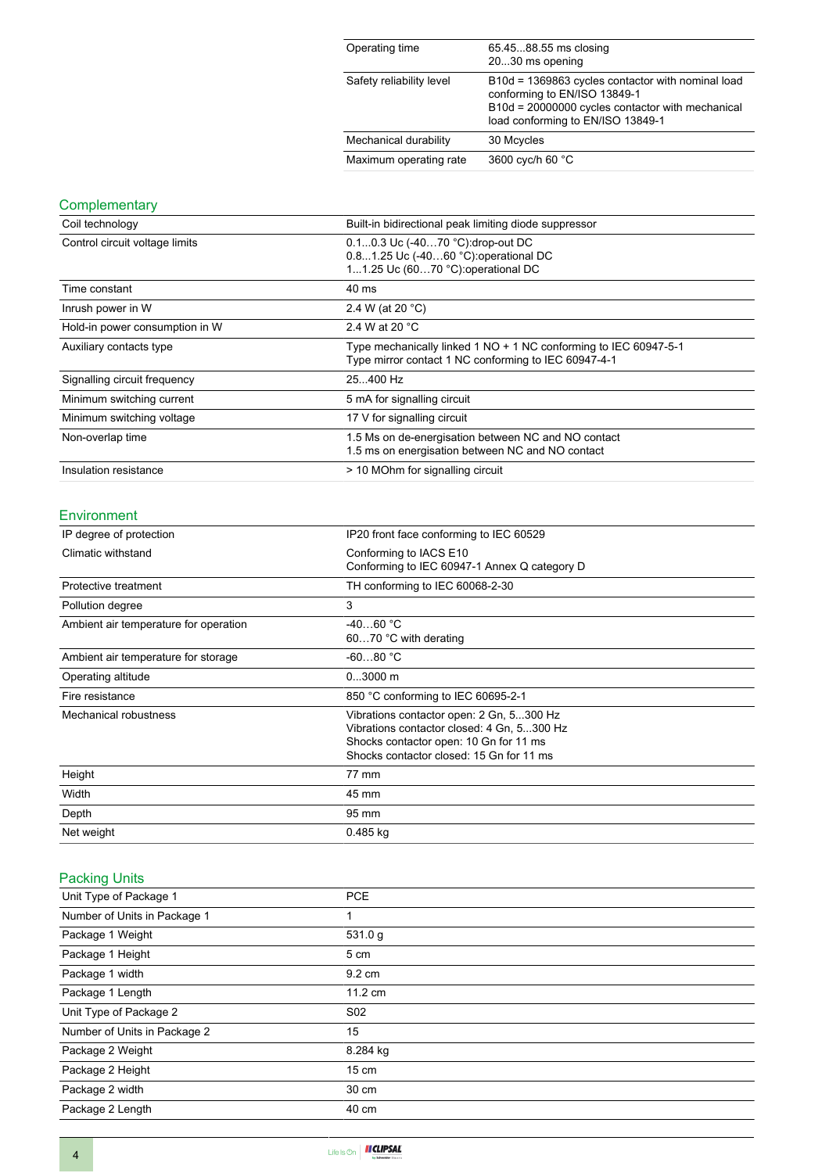| Operating time           | 65.4588.55 ms closing<br>2030 ms opening                                                                                                                                   |
|--------------------------|----------------------------------------------------------------------------------------------------------------------------------------------------------------------------|
| Safety reliability level | B10d = 1369863 cycles contactor with nominal load<br>conforming to EN/ISO 13849-1<br>B10d = 20000000 cycles contactor with mechanical<br>load conforming to EN/ISO 13849-1 |
| Mechanical durability    | 30 Mcycles                                                                                                                                                                 |
| Maximum operating rate   | 3600 cyc/h 60 °C                                                                                                                                                           |

### **Complementary**

| Coil technology                | Built-in bidirectional peak limiting diode suppressor                                                                    |  |
|--------------------------------|--------------------------------------------------------------------------------------------------------------------------|--|
| Control circuit voltage limits | 0.10.3 Uc (-4070 °C): drop-out DC<br>0.81.25 Uc (-4060 °C): operational DC<br>11.25 Uc (6070 °C): operational DC         |  |
| Time constant                  | 40 ms                                                                                                                    |  |
| Inrush power in W              | 2.4 W (at 20 $^{\circ}$ C)                                                                                               |  |
| Hold-in power consumption in W | 2.4 W at 20 °C                                                                                                           |  |
| Auxiliary contacts type        | Type mechanically linked 1 NO + 1 NC conforming to IEC 60947-5-1<br>Type mirror contact 1 NC conforming to IEC 60947-4-1 |  |
| Signalling circuit frequency   | 25400 Hz                                                                                                                 |  |
| Minimum switching current      | 5 mA for signalling circuit                                                                                              |  |
| Minimum switching voltage      | 17 V for signalling circuit                                                                                              |  |
| Non-overlap time               | 1.5 Ms on de-energisation between NC and NO contact<br>1.5 ms on energisation between NC and NO contact                  |  |
| Insulation resistance          | > 10 MOhm for signalling circuit                                                                                         |  |

#### Environment

| IP degree of protection               | IP20 front face conforming to IEC 60529                                                                                                                                      |  |
|---------------------------------------|------------------------------------------------------------------------------------------------------------------------------------------------------------------------------|--|
| Climatic withstand                    | Conforming to IACS E10<br>Conforming to IEC 60947-1 Annex Q category D                                                                                                       |  |
| Protective treatment                  | TH conforming to IEC 60068-2-30                                                                                                                                              |  |
| Pollution degree                      | 3                                                                                                                                                                            |  |
| Ambient air temperature for operation | $-4060 °C$<br>6070 °C with derating                                                                                                                                          |  |
| Ambient air temperature for storage   | $-6080 °C$                                                                                                                                                                   |  |
| Operating altitude                    | $03000$ m                                                                                                                                                                    |  |
| Fire resistance                       | 850 °C conforming to IEC 60695-2-1                                                                                                                                           |  |
| Mechanical robustness                 | Vibrations contactor open: 2 Gn, 5300 Hz<br>Vibrations contactor closed: 4 Gn, 5300 Hz<br>Shocks contactor open: 10 Gn for 11 ms<br>Shocks contactor closed: 15 Gn for 11 ms |  |
| Height                                | 77 mm                                                                                                                                                                        |  |
| Width                                 | 45 mm                                                                                                                                                                        |  |
| Depth                                 | 95 mm                                                                                                                                                                        |  |
| Net weight                            | $0.485$ kg                                                                                                                                                                   |  |

#### Packing Units

| <b>PCE</b>        |
|-------------------|
| 1                 |
| 531.0 g           |
| 5 cm              |
| $9.2 \text{ cm}$  |
| $11.2 \text{ cm}$ |
| S <sub>02</sub>   |
| 15                |
| 8.284 kg          |
| 15 cm             |
| 30 cm             |
| 40 cm             |
|                   |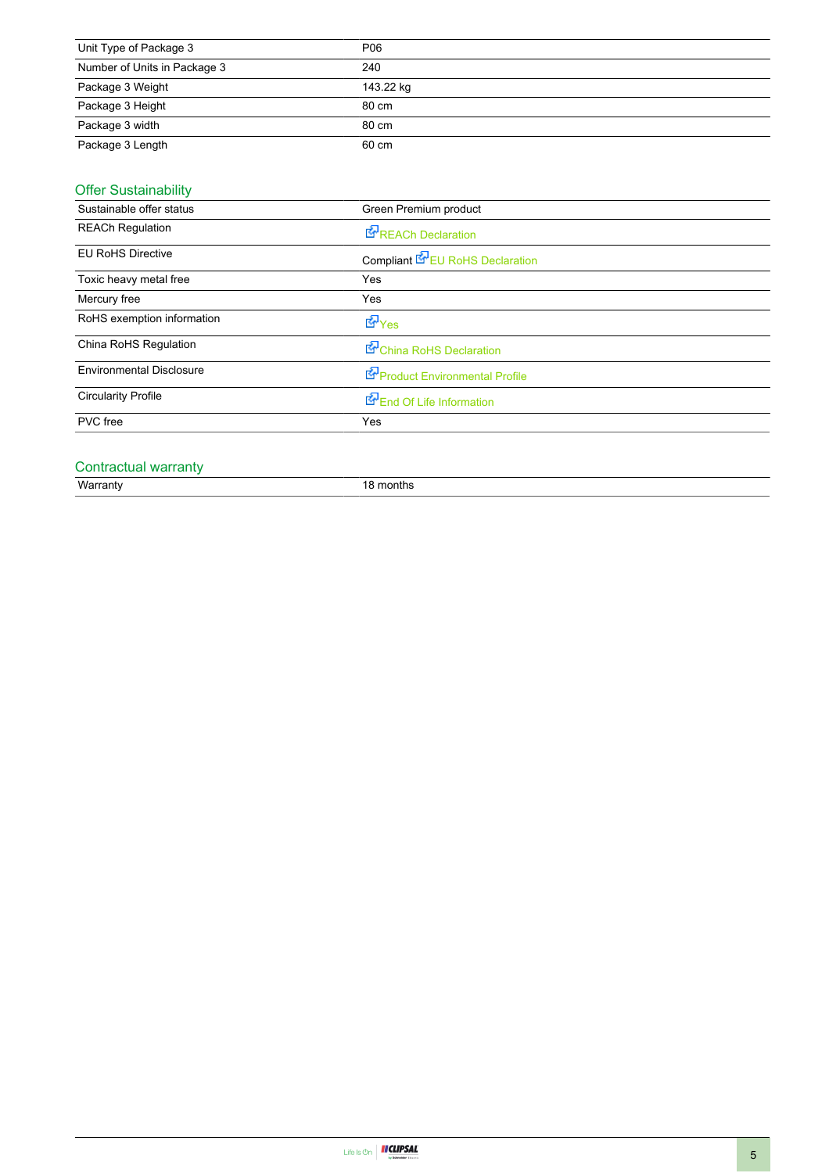| Unit Type of Package 3       | P06       |
|------------------------------|-----------|
| Number of Units in Package 3 | 240       |
| Package 3 Weight             | 143.22 kg |
| Package 3 Height             | 80 cm     |
| Package 3 width              | 80 cm     |
| Package 3 Length             | 60 cm     |

#### Offer Sustainability

| Sustainable offer status        | Green Premium product                  |  |
|---------------------------------|----------------------------------------|--|
| <b>REACh Regulation</b>         | <b>REACh Declaration</b>               |  |
| <b>EU RoHS Directive</b>        | Compliant <b>K</b> EU RoHS Declaration |  |
| Toxic heavy metal free          | Yes                                    |  |
| Mercury free                    | Yes                                    |  |
| RoHS exemption information      | d Yes                                  |  |
| China RoHS Regulation           | China RoHS Declaration                 |  |
| <b>Environmental Disclosure</b> | Product Environmental Profile          |  |
| <b>Circularity Profile</b>      | End Of Life Information                |  |
| PVC free                        | Yes                                    |  |

# Contractual warranty<br>Warranty

18 months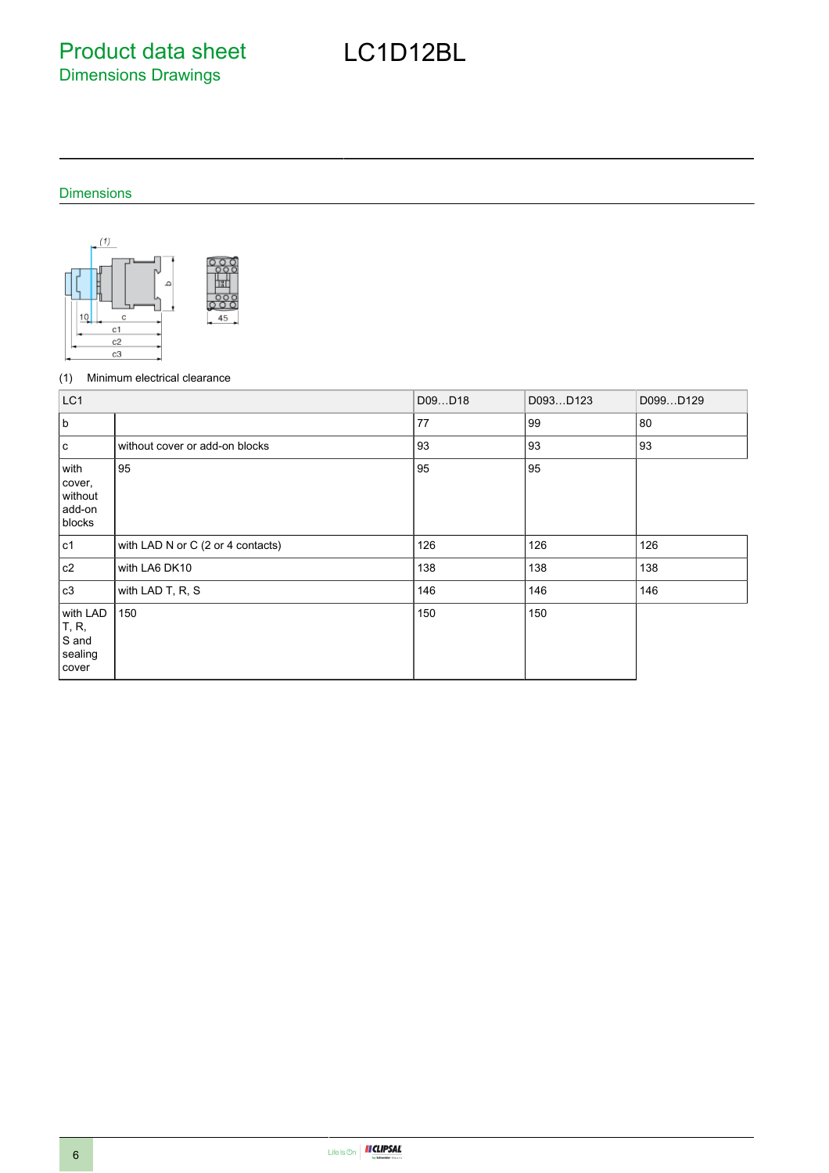Product data sheet Dimensions Drawings

#### Dimensions



#### (1) Minimum electrical clearance

| LC1                                            |                                   | D09D18 | D093D123 | D099D129 |
|------------------------------------------------|-----------------------------------|--------|----------|----------|
| <sub>b</sub>                                   |                                   | 77     | 99       | 80       |
| l c                                            | without cover or add-on blocks    | 93     | 93       | 93       |
| with<br>cover,<br>without<br>add-on<br>blocks  | 95                                | 95     | 95       |          |
| c1                                             | with LAD N or C (2 or 4 contacts) | 126    | 126      | 126      |
| c2                                             | with LA6 DK10                     | 138    | 138      | 138      |
| c3                                             | with LAD T, R, S                  | 146    | 146      | 146      |
| with LAD<br>T, R,<br>S and<br>sealing<br>cover | 150                               | 150    | 150      |          |